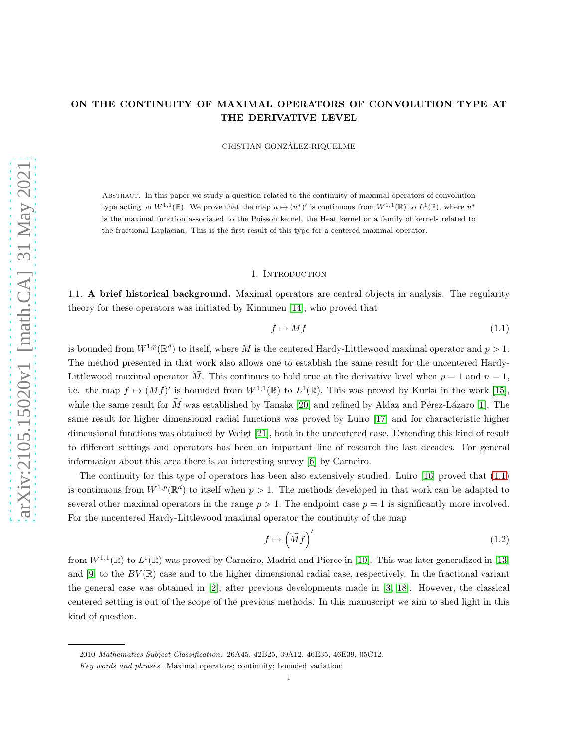# ON THE CONTINUITY OF MAXIMAL OPERATORS OF CONVOLUTION TYPE AT THE DERIVATIVE LEVEL

CRISTIAN GONZALEZ-RIQUELME ´

Abstract. In this paper we study a question related to the continuity of maximal operators of convolution type acting on  $W^{1,1}(\mathbb{R})$ . We prove that the map  $u \mapsto (u^*)'$  is continuous from  $W^{1,1}(\mathbb{R})$  to  $L^1(\mathbb{R})$ , where  $u^*$ is the maximal function associated to the Poisson kernel, the Heat kernel or a family of kernels related to the fractional Laplacian. This is the first result of this type for a centered maximal operator.

### 1. INTRODUCTION

1.1. A brief historical background. Maximal operators are central objects in analysis. The regularity theory for these operators was initiated by Kinnunen [\[14\]](#page-9-0), who proved that

<span id="page-0-0"></span>
$$
f \mapsto Mf \tag{1.1}
$$

is bounded from  $W^{1,p}(\mathbb{R}^d)$  to itself, where M is the centered Hardy-Littlewood maximal operator and  $p > 1$ . The method presented in that work also allows one to establish the same result for the uncentered Hardy-Littlewood maximal operator M. This continues to hold true at the derivative level when  $p = 1$  and  $n = 1$ , i.e. the map  $f \mapsto (Mf)'$  is bounded from  $W^{1,1}(\mathbb{R})$  to  $L^1(\mathbb{R})$ . This was proved by Kurka in the work [\[15\]](#page-9-1), while the same result for  $\widetilde{M}$  was established by Tanaka [\[20\]](#page-9-2) and refined by Aldaz and Pérez-Lázaro [\[1\]](#page-8-0). The same result for higher dimensional radial functions was proved by Luiro [\[17\]](#page-9-3) and for characteristic higher dimensional functions was obtained by Weigt [\[21\]](#page-9-4), both in the uncentered case. Extending this kind of result to different settings and operators has been an important line of research the last decades. For general information about this area there is an interesting survey [\[6\]](#page-8-1) by Carneiro.

The continuity for this type of operators has been also extensively studied. Luiro [\[16\]](#page-9-5) proved that [\(1.1\)](#page-0-0) is continuous from  $W^{1,p}(\mathbb{R}^d)$  to itself when  $p > 1$ . The methods developed in that work can be adapted to several other maximal operators in the range  $p > 1$ . The endpoint case  $p = 1$  is significantly more involved. For the uncentered Hardy-Littlewood maximal operator the continuity of the map

$$
f \mapsto \left(\widetilde{M}f\right)' \tag{1.2}
$$

from  $W^{1,1}(\mathbb{R})$  to  $L^1(\mathbb{R})$  was proved by Carneiro, Madrid and Pierce in [\[10\]](#page-9-6). This was later generalized in [\[13\]](#page-9-7) and  $[9]$  to the  $BV(\mathbb{R})$  case and to the higher dimensional radial case, respectively. In the fractional variant the general case was obtained in [\[2\]](#page-8-2), after previous developments made in [\[3,](#page-8-3) [18\]](#page-9-9). However, the classical centered setting is out of the scope of the previous methods. In this manuscript we aim to shed light in this kind of question.

1

<sup>2010</sup> Mathematics Subject Classification. 26A45, 42B25, 39A12, 46E35, 46E39, 05C12.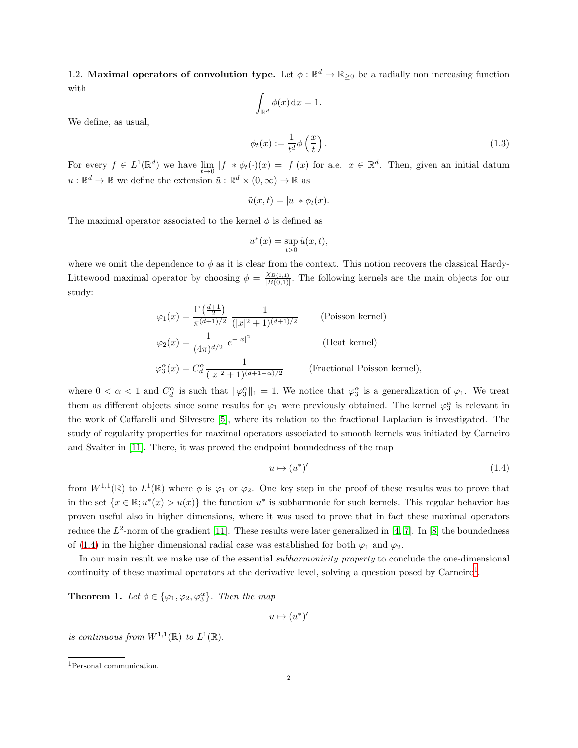1.2. Maximal operators of convolution type. Let  $\phi : \mathbb{R}^d \to \mathbb{R}_{\geq 0}$  be a radially non increasing function with

 $\oint_{\mathbb{R}^d} \phi(x) dx = 1.$  $\phi_t(x) := \frac{1}{t^d} \phi\left(\frac{x}{t}\right)$  $\overline{ }$ .  $(1.3)$ 

We define, as usual,

For every  $f \in L^1(\mathbb{R}^d)$  we have  $\lim_{t \to 0} |f| * \phi_t(\cdot)(x) = |f|(x)$  for a.e.  $x \in \mathbb{R}^d$ . Then, given an initial datum  $u: \mathbb{R}^d \to \mathbb{R}$  we define the extension  $\tilde{u}: \mathbb{R}^d \times (0, \infty) \to \mathbb{R}$  as

<span id="page-1-2"></span>t

$$
\tilde{u}(x,t) = |u| * \phi_t(x).
$$

The maximal operator associated to the kernel  $\phi$  is defined as

$$
u^*(x) = \sup_{t>0} \tilde{u}(x,t),
$$

where we omit the dependence to  $\phi$  as it is clear from the context. This notion recovers the classical Hardy-Littewood maximal operator by choosing  $\phi = \frac{\chi_{B(0,1)}}{|B(0,1)|}$  $\frac{XB(0,1)}{|B(0,1)|}$ . The following kernels are the main objects for our study:

$$
\varphi_1(x) = \frac{\Gamma\left(\frac{d+1}{2}\right)}{\pi^{(d+1)/2}} \frac{1}{(|x|^2 + 1)^{(d+1)/2}} \qquad \text{(Poisson kernel)}
$$
  

$$
\varphi_2(x) = \frac{1}{(4\pi)^{d/2}} e^{-|x|^2} \qquad \text{(Heat kernel)}
$$
  

$$
\varphi_3^{\alpha}(x) = C_d^{\alpha} \frac{1}{(|x|^2 + 1)^{(d+1-\alpha)/2}} \qquad \text{(Fractional Poisson kernel)},
$$

where  $0 < \alpha < 1$  and  $C_d^{\alpha}$  is such that  $\|\varphi_3^{\alpha}\|_1 = 1$ . We notice that  $\varphi_3^{\alpha}$  is a generalization of  $\varphi_1$ . We treat them as different objects since some results for  $\varphi_1$  were previously obtained. The kernel  $\varphi_3^{\alpha}$  is relevant in the work of Caffarelli and Silvestre [5], where its relation to the fractional Laplacian is investigated. The study of regularity properties for maximal operators associated to smooth kernels was initiated by Carneiro and Svaiter in [\[11\]](#page-9-10). There, it was proved the endpoint boundedness of the map

<span id="page-1-0"></span>
$$
u \mapsto (u^*)' \tag{1.4}
$$

from  $W^{1,1}(\mathbb{R})$  to  $L^1(\mathbb{R})$  where  $\phi$  is  $\varphi_1$  or  $\varphi_2$ . One key step in the proof of these results was to prove that in the set  $\{x \in \mathbb{R} : u^*(x) > u(x)\}$  the function  $u^*$  is subharmonic for such kernels. This regular behavior has proven useful also in higher dimensions, where it was used to prove that in fact these maximal operators reduce the  $L^2$ -norm of the gradient [\[11\]](#page-9-10). These results were later generalized in [\[4,](#page-8-4) [7\]](#page-8-5). In [\[8\]](#page-8-6) the boundedness of [\(1.4\)](#page-1-0) in the higher dimensional radial case was established for both  $\varphi_1$  and  $\varphi_2$ .

In our main result we make use of the essential *subharmonicity property* to conclude the one-dimensional continuity of these maximal operators at the derivative level, solving a question posed by Carneiro<sup>1</sup>.

<span id="page-1-1"></span>**Theorem 1.** Let  $\phi \in {\varphi_1, \varphi_2, \varphi_3^{\alpha}}$ . Then the map

 $u \mapsto (u^*)'$ 

is continuous from  $W^{1,1}(\mathbb{R})$  to  $L^1(\mathbb{R})$ .

<sup>1</sup>Personal communication.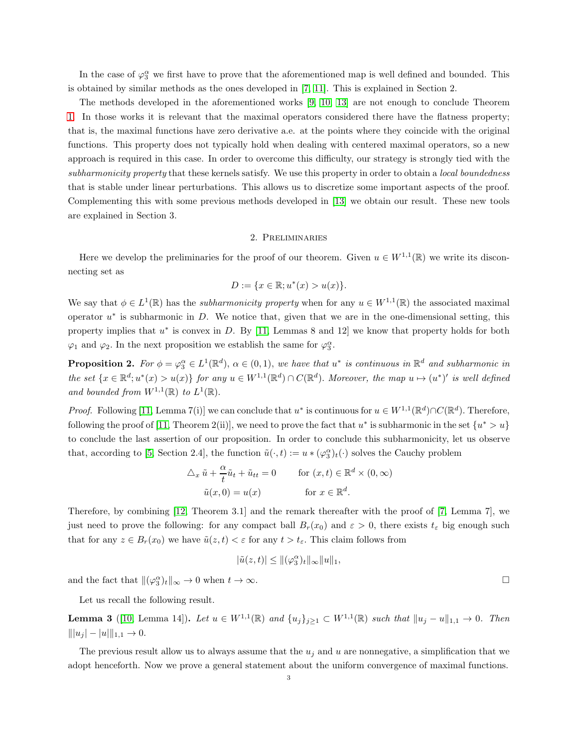In the case of  $\varphi_3^{\alpha}$  we first have to prove that the aforementioned map is well defined and bounded. This is obtained by similar methods as the ones developed in [\[7,](#page-8-5) [11\]](#page-9-10). This is explained in Section 2.

The methods developed in the aforementioned works [\[9,](#page-9-8) [10,](#page-9-6) [13\]](#page-9-7) are not enough to conclude Theorem [1.](#page-1-1) In those works it is relevant that the maximal operators considered there have the flatness property; that is, the maximal functions have zero derivative a.e. at the points where they coincide with the original functions. This property does not typically hold when dealing with centered maximal operators, so a new approach is required in this case. In order to overcome this difficulty, our strategy is strongly tied with the subharmonicity property that these kernels satisfy. We use this property in order to obtain a local boundedness that is stable under linear perturbations. This allows us to discretize some important aspects of the proof. Complementing this with some previous methods developed in [\[13\]](#page-9-7) we obtain our result. These new tools are explained in Section 3.

## 2. Preliminaries

Here we develop the preliminaries for the proof of our theorem. Given  $u \in W^{1,1}(\mathbb{R})$  we write its disconnecting set as

$$
D := \{ x \in \mathbb{R}; u^*(x) > u(x) \}.
$$

We say that  $\phi \in L^1(\mathbb{R})$  has the *subharmonicity property* when for any  $u \in W^{1,1}(\mathbb{R})$  the associated maximal operator  $u^*$  is subharmonic in  $D$ . We notice that, given that we are in the one-dimensional setting, this property implies that  $u^*$  is convex in D. By [\[11,](#page-9-10) Lemmas 8 and 12] we know that property holds for both  $\varphi_1$  and  $\varphi_2$ . In the next proposition we establish the same for  $\varphi_3^{\alpha}$ .

**Proposition 2.** For  $\phi = \varphi_3^{\alpha} \in L^1(\mathbb{R}^d)$ ,  $\alpha \in (0,1)$ , we have that  $u^*$  is continuous in  $\mathbb{R}^d$  and subharmonic in the set  $\{x \in \mathbb{R}^d; u^*(x) > u(x)\}$  for any  $u \in W^{1,1}(\mathbb{R}^d) \cap C(\mathbb{R}^d)$ . Moreover, the map  $u \mapsto (u^*)'$  is well defined and bounded from  $W^{1,1}(\mathbb{R})$  to  $L^1(\mathbb{R})$ .

*Proof.* Following [\[11,](#page-9-10) Lemma 7(i)] we can conclude that  $u^*$  is continuous for  $u \in W^{1,1}(\mathbb{R}^d) \cap C(\mathbb{R}^d)$ . Therefore, following the proof of [\[11,](#page-9-10) Theorem 2(ii)], we need to prove the fact that  $u^*$  is subharmonic in the set  $\{u^* > u\}$ to conclude the last assertion of our proposition. In order to conclude this subharmonicity, let us observe that, according to [5, Section 2.4], the function  $\tilde{u}(\cdot,t) := u * (\varphi_3^{\alpha})_t(\cdot)$  solves the Cauchy problem

$$
\Delta_x \tilde{u} + \frac{\alpha}{t} \tilde{u}_t + \tilde{u}_{tt} = 0 \quad \text{for } (x, t) \in \mathbb{R}^d \times (0, \infty)
$$

$$
\tilde{u}(x, 0) = u(x) \quad \text{for } x \in \mathbb{R}^d.
$$

Therefore, by combining [\[12,](#page-9-11) Theorem 3.1] and the remark thereafter with the proof of [\[7,](#page-8-5) Lemma 7], we just need to prove the following: for any compact ball  $B_r(x_0)$  and  $\varepsilon > 0$ , there exists  $t_{\varepsilon}$  big enough such that for any  $z \in B_r(x_0)$  we have  $\tilde{u}(z, t) < \varepsilon$  for any  $t > t_{\varepsilon}$ . This claim follows from

$$
|\tilde{u}(z,t)| \le ||(\varphi_3^{\alpha})_t||_{\infty} ||u||_1,
$$

and the fact that  $\|(\varphi_3^{\alpha})_t\|_{\infty} \to 0$  when  $t \to \infty$ .

Let us recall the following result.

**Lemma 3** ([\[10,](#page-9-6) Lemma 14]). Let  $u \in W^{1,1}(\mathbb{R})$  and  $\{u_j\}_{j\geq 1} \subset W^{1,1}(\mathbb{R})$  such that  $||u_j - u||_{1,1} \to 0$ . Then  $|||u_j| - |u|||_{1,1} \to 0.$ 

The previous result allow us to always assume that the  $u_i$  and u are nonnegative, a simplification that we adopt henceforth. Now we prove a general statement about the uniform convergence of maximal functions.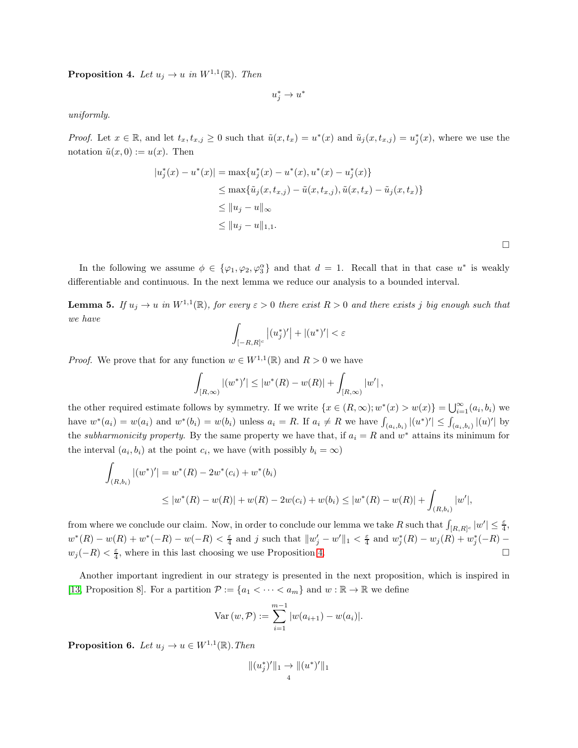<span id="page-3-0"></span>**Proposition 4.** Let  $u_j \to u$  in  $W^{1,1}(\mathbb{R})$ . Then

$$
u_j^*\to u^*
$$

uniformly.

*Proof.* Let  $x \in \mathbb{R}$ , and let  $t_x, t_{x,j} \ge 0$  such that  $\tilde{u}(x, t_x) = u^*(x)$  and  $\tilde{u}_j(x, t_{x,j}) = u^*_j(x)$ , where we use the notation  $\tilde{u}(x, 0) := u(x)$ . Then

$$
|u_j^*(x) - u^*(x)| = \max\{u_j^*(x) - u^*(x), u^*(x) - u_j^*(x)\}
$$
  
\n
$$
\leq \max\{\tilde{u}_j(x, t_{x,j}) - \tilde{u}(x, t_{x,j}), \tilde{u}(x, t_x) - \tilde{u}_j(x, t_x)\}
$$
  
\n
$$
\leq ||u_j - u||_{\infty}
$$
  
\n
$$
\leq ||u_j - u||_{1,1}.
$$

 $\Box$ 

In the following we assume  $\phi \in {\varphi_1, \varphi_2, \varphi_3^{\alpha}}$  and that  $d = 1$ . Recall that in that case  $u^*$  is weakly differentiable and continuous. In the next lemma we reduce our analysis to a bounded interval.

<span id="page-3-1"></span>**Lemma 5.** If  $u_j \to u$  in  $W^{1,1}(\mathbb{R})$ , for every  $\varepsilon > 0$  there exist  $R > 0$  and there exists j big enough such that we have

$$
\int_{[-R,R]^c} |(u_j^*)'| + |(u^*)'| < \varepsilon
$$

*Proof.* We prove that for any function  $w \in W^{1,1}(\mathbb{R})$  and  $R > 0$  we have

$$
\int_{[R,\infty)}|(w^*)'|\leq |w^*(R)-w(R)|+\int_{[R,\infty)}|w'|,
$$

the other required estimate follows by symmetry. If we write  $\{x \in (R, \infty); w^*(x) > w(x)\} = \bigcup_{i=1}^{\infty} (a_i, b_i)$  we have  $w^*(a_i) = w(a_i)$  and  $w^*(b_i) = w(b_i)$  unless  $a_i = R$ . If  $a_i \neq R$  we have  $\int_{(a_i, b_i)} |(u^*)'| \leq \int_{(a_i, b_i)} |(u)|'|$  by the *subharmonicity property*. By the same property we have that, if  $a_i = R$  and  $w^*$  attains its minimum for the interval  $(a_i, b_i)$  at the point  $c_i$ , we have (with possibly  $b_i = \infty$ )

$$
\int_{(R,b_i)} |(w^*)'| = w^*(R) - 2w^*(c_i) + w^*(b_i)
$$
\n
$$
\leq |w^*(R) - w(R)| + w(R) - 2w(c_i) + w(b_i) \leq |w^*(R) - w(R)| + \int_{(R,b_i)} |w'|,
$$

from where we conclude our claim. Now, in order to conclude our lemma we take R such that  $\int_{[R,R]^c} |w'| \leq \frac{\varepsilon}{4}$ ,  $w^*(R) - w(R) + w^*(-R) - w(-R) < \frac{\varepsilon}{4}$  and j such that  $||w'_j - w'||_1 < \frac{\varepsilon}{4}$  and  $w_j^*(R) - w_j(R) + w_j^*(-R) - w(j(R))$  $w_j(-R) < \frac{\varepsilon}{4}$ , where in this last choosing we use Proposition [4.](#page-3-0)

Another important ingredient in our strategy is presented in the next proposition, which is inspired in [\[13,](#page-9-7) Proposition 8]. For a partition  $\mathcal{P} := \{a_1 < \cdots < a_m\}$  and  $w : \mathbb{R} \to \mathbb{R}$  we define

Var 
$$
(w, \mathcal{P}) := \sum_{i=1}^{m-1} |w(a_{i+1}) - w(a_i)|
$$
.

<span id="page-3-2"></span>**Proposition 6.** Let  $u_j \to u \in W^{1,1}(\mathbb{R})$ . Then

$$
|| (u_j^*)' ||_1 \to || (u^*)' ||_1
$$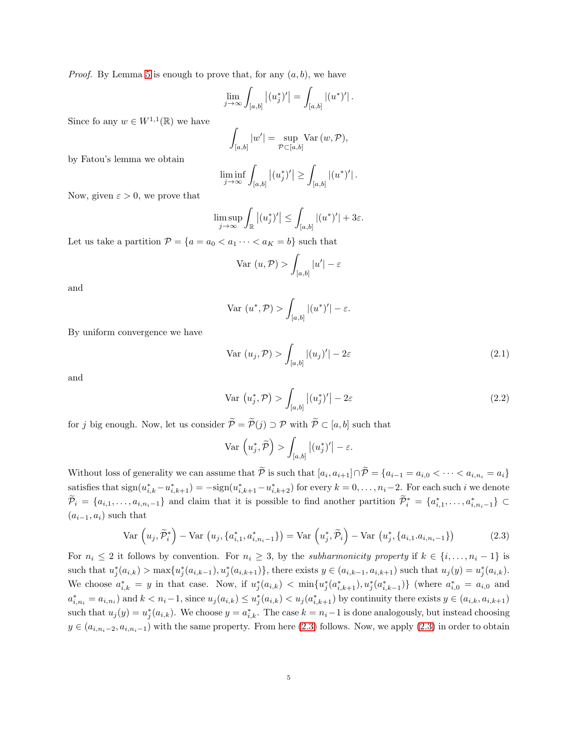*Proof.* By Lemma [5](#page-3-1) is enough to prove that, for any  $(a, b)$ , we have

$$
\lim_{j\to\infty}\int_{[a,b]}\left|(u_j^*)'\right|=\int_{[a,b]}\left|(u^*)'\right|.
$$

Since fo any  $w \in W^{1,1}(\mathbb{R})$  we have

$$
\int_{[a,b]}|w'| = \sup_{\mathcal{P}\subset [a,b]} \text{Var}\,(w,\mathcal{P}),
$$

by Fatou's lemma we obtain

$$
\liminf_{j\to\infty}\int_{[a,b]}|(u_j^*)'|\geq \int_{[a,b]}|(u^*)'|\,.
$$

Now, given  $\varepsilon > 0$ , we prove that

$$
\limsup_{j \to \infty} \int_{\mathbb{R}} |(u_j^*)'| \le \int_{[a,b]} |(u^*)'| + 3\varepsilon.
$$

Let us take a partition  $P = \{a = a_0 < a_1 \cdots < a_K = b\}$  such that

$$
\text{Var}\ (u, \mathcal{P}) > \int_{[a,b]} |u'| - \varepsilon
$$

and

$$
\text{Var}\ (u^*, \mathcal{P}) > \int_{[a,b]} |(u^*)'| - \varepsilon.
$$

By uniform convergence we have

<span id="page-4-2"></span>
$$
\text{Var}\left(u_{j}, \mathcal{P}\right) > \int_{[a,b]} \left| (u_{j})' \right| - 2\varepsilon \tag{2.1}
$$

and

<span id="page-4-1"></span>
$$
\text{Var}\,\left(u_j^*, \mathcal{P}\right) > \int_{[a,b]} \left| (u_j^*)' \right| - 2\varepsilon \tag{2.2}
$$

for j big enough. Now, let us consider  $\widetilde{\mathcal{P}} = \widetilde{\mathcal{P}}(j) \supset \mathcal{P}$  with  $\widetilde{\mathcal{P}} \subset [a, b]$  such that

<span id="page-4-0"></span>
$$
\operatorname{Var}\left(u_j^*, \widetilde{\mathcal{P}}\right) > \int_{[a,b]} \left|(u_j^*)'\right| - \varepsilon.
$$

Without loss of generality we can assume that  $P$  is such that  $[a_i, a_{i+1}] \cap P = \{a_{i-1} = a_{i,0} < \cdots < a_{i,n_i} = a_i\}$ satisfies that  $sign(u_{i,k}^* - u_{i,k+1}^*) = -sign(u_{i,k+1}^* - u_{i,k+2}^*)$  for every  $k = 0, \ldots, n_i-2$ . For each such i we denote  $\widetilde{\mathcal{P}}_i = \{a_{i,1},\ldots,a_{i,n_i-1}\}\$ and claim that it is possible to find another partition  $\widetilde{\mathcal{P}}_i^* = \{a_{i,1}^*,\ldots,a_{i,n_i-1}^*\}\subset$  $(a_{i-1}, a_i)$  such that

$$
\text{Var}\left(u_j, \widetilde{\mathcal{P}}_i^*\right) - \text{Var}\left(u_j, \{a_{i,1}^*, a_{i,n_i-1}^*\}\right) = \text{Var}\left(u_j^*, \widetilde{\mathcal{P}}_i\right) - \text{Var}\left(u_j^*, \{a_{i,1}.a_{i,n_i-1}\}\right) \tag{2.3}
$$

For  $n_i \leq 2$  it follows by convention. For  $n_i \geq 3$ , by the *subharmonicity property* if  $k \in \{i, ..., n_i - 1\}$  is such that  $u_j^*(a_{i,k}) > \max\{u_j^*(a_{i,k-1}), u_j^*(a_{i,k+1})\}$ , there exists  $y \in (a_{i,k-1}, a_{i,k+1})$  such that  $u_j(y) = u_j^*(a_{i,k})$ . We choose  $a_{i,k}^* = y$  in that case. Now, if  $u_j^*(a_{i,k}) < \min\{u_j^*(a_{i,k+1}^*), u_j^*(a_{i,k-1}^*)\}$  (where  $a_{i,0}^* = a_{i,0}$  and  $a_{i,n_i}^* = a_{i,n_i}$ ) and  $k < n_i-1$ , since  $u_j(a_{i,k}) \le u_j^*(a_{i,k}) < u_j(a_{i,k+1}^*)$  by continuity there exists  $y \in (a_{i,k}, a_{i,k+1})$ such that  $u_j(y) = u_j^*(a_{i,k})$ . We choose  $y = a_{i,k}^*$ . The case  $k = n_i - 1$  is done analogously, but instead choosing  $y \in (a_{i,n_i-2}, a_{i,n_i-1})$  with the same property. From here [\(2.3\)](#page-4-0) follows. Now, we apply (2.3) in order to obtain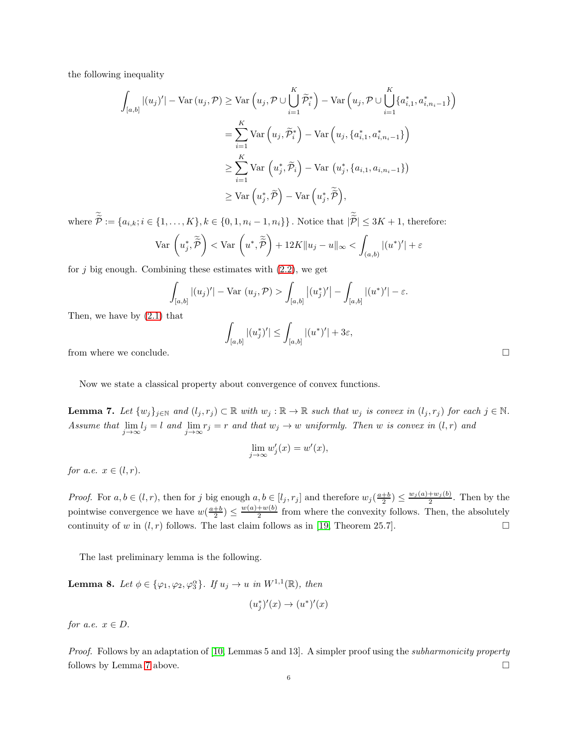the following inequality

$$
\int_{[a,b]} |(u_j)'| - \text{Var}(u_j, \mathcal{P}) \ge \text{Var}\left(u_j, \mathcal{P} \cup \bigcup_{i=1}^K \widetilde{\mathcal{P}}_i^*\right) - \text{Var}\left(u_j, \mathcal{P} \cup \bigcup_{i=1}^K \{a_{i,1}^*, a_{i,n_i-1}^*\}\right)
$$
\n
$$
= \sum_{i=1}^K \text{Var}\left(u_j, \widetilde{\mathcal{P}}_i^*\right) - \text{Var}\left(u_j, \{a_{i,1}^*, a_{i,n_i-1}^*\}\right)
$$
\n
$$
\ge \sum_{i=1}^K \text{Var}\left(u_j^*, \widetilde{\mathcal{P}}_i\right) - \text{Var}\left(u_j^*, \{a_{i,1}, a_{i,n_i-1}\}\right)
$$
\n
$$
\ge \text{Var}\left(u_j^*, \widetilde{\mathcal{P}}\right) - \text{Var}\left(u_j^*, \widetilde{\widetilde{\mathcal{P}}}\right),
$$

where  $P := \{a_{i,k}; i \in \{1, ..., K\}, k \in \{0, 1, n_i - 1, n_i\}\}\.$  Notice that  $|P| \leq 3K + 1$ , therefore:

$$
\operatorname{Var}\left(u_j^*, \widetilde{\widetilde{\mathcal{P}}}\right) < \operatorname{Var}\left(u^*, \widetilde{\widetilde{\mathcal{P}}}\right) + 12K \|u_j - u\|_{\infty} < \int_{(a,b)} |(u^*)'| + \varepsilon
$$

for  $j$  big enough. Combining these estimates with  $(2.2)$ , we get

$$
\int_{[a,b]} |(u_j)'| - \text{Var}(u_j, \mathcal{P}) > \int_{[a,b]} |(u_j^*)'| - \int_{[a,b]} |(u^*)'| - \varepsilon.
$$

Then, we have by [\(2.1\)](#page-4-2) that

$$
\int_{[a,b]} |(u_j^*)'| \leq \int_{[a,b]} |(u^*)'| + 3\varepsilon,
$$
 from where we conclude.  $\hfill \square$ 

Now we state a classical property about convergence of convex functions.

<span id="page-5-0"></span>**Lemma 7.** Let  $\{w_j\}_{j\in\mathbb{N}}$  and  $(l_j, r_j) \subset \mathbb{R}$  with  $w_j : \mathbb{R} \to \mathbb{R}$  such that  $w_j$  is convex in  $(l_j, r_j)$  for each  $j \in \mathbb{N}$ . Assume that  $\lim_{j\to\infty} l_j = l$  and  $\lim_{j\to\infty} r_j = r$  and that  $w_j \to w$  uniformly. Then w is convex in  $(l,r)$  and

$$
\lim_{j \to \infty} w_j'(x) = w'(x),
$$

for a.e.  $x \in (l, r)$ .

*Proof.* For  $a, b \in (l, r)$ , then for j big enough  $a, b \in [l_j, r_j]$  and therefore  $w_j(\frac{a+b}{2}) \le \frac{w_j(a) + w_j(b)}{2}$  $\frac{+w_j(\theta)}{2}$ . Then by the pointwise convergence we have  $w(\frac{a+b}{2}) \leq \frac{w(a)+w(b)}{2}$  $\frac{w+w(v)}{2}$  from where the convexity follows. Then, the absolutely continuity of w in  $(l, r)$  follows. The last claim follows as in [\[19,](#page-9-12) Theorem 25.7].

The last preliminary lemma is the following.

<span id="page-5-1"></span>**Lemma 8.** Let  $\phi \in \{\varphi_1, \varphi_2, \varphi_3^{\alpha}\}\$ . If  $u_j \to u$  in  $W^{1,1}(\mathbb{R})$ , then

$$
(u_j^*)'(x) \to (u^*)'(x)
$$

for a.e.  $x \in D$ .

Proof. Follows by an adaptation of [\[10,](#page-9-6) Lemmas 5 and 13]. A simpler proof using the subharmonicity property follows by Lemma [7](#page-5-0) above.  $\Box$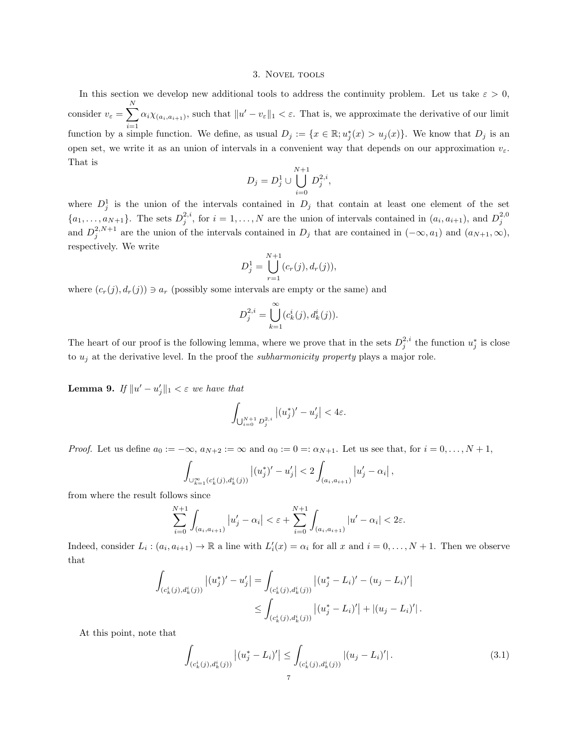#### 3. Novel tools

In this section we develop new additional tools to address the continuity problem. Let us take  $\varepsilon > 0$ , consider  $v_{\varepsilon} = \sum_{n=1}^{N}$  $i=1$  $\alpha_i \chi_{(a_i, a_{i+1})}$ , such that  $||u' - v_{\varepsilon}||_1 < \varepsilon$ . That is, we approximate the derivative of our limit function by a simple function. We define, as usual  $D_j := \{x \in \mathbb{R}; u_j^*(x) > u_j(x)\}\.$  We know that  $D_j$  is an open set, we write it as an union of intervals in a convenient way that depends on our approximation  $v_{\varepsilon}$ . That is

$$
D_j = D_j^1 \cup \bigcup_{i=0}^{N+1} D_j^{2,i},
$$

where  $D_j^1$  is the union of the intervals contained in  $D_j$  that contain at least one element of the set  $\{a_1,\ldots,a_{N+1}\}\.$  The sets  $D_j^{2,i}$ , for  $i=1,\ldots,N$  are the union of intervals contained in  $(a_i,a_{i+1})$ , and  $D_j^{2,0}$ and  $D_j^{2,N+1}$  are the union of the intervals contained in  $D_j$  that are contained in  $(-\infty, a_1)$  and  $(a_{N+1}, \infty)$ , respectively. We write

$$
D_j^1 = \bigcup_{r=1}^{N+1} (c_r(j), d_r(j)),
$$

where  $(c_r(j), d_r(j)) \ni a_r$  (possibly some intervals are empty or the same) and

$$
D_j^{2,i} = \bigcup_{k=1}^{\infty} (c_k^i(j), d_k^i(j)).
$$

The heart of our proof is the following lemma, where we prove that in the sets  $D_j^{2,i}$  the function  $u_j^*$  is close to  $u_j$  at the derivative level. In the proof the *subharmonicity property* plays a major role.

<span id="page-6-0"></span>**Lemma 9.** If  $||u' - u'_j||_1 < \varepsilon$  we have that

$$
\int_{\bigcup_{i=0}^{N+1} D_j^{2,i}} \left| (u_j^*)' - u_j' \right| < 4\varepsilon.
$$

*Proof.* Let us define  $a_0 := -\infty$ ,  $a_{N+2} := \infty$  and  $\alpha_0 := 0 =: \alpha_{N+1}$ . Let us see that, for  $i = 0, \ldots, N+1$ ,

$$
\int_{\cup_{k=1}^{\infty} (c_k^i(j), d_k^i(j))} \left|(u_j^*)'-u_j'\right| < 2 \int_{(a_i, a_{i+1})} \left|u_j'-\alpha_i\right|,
$$

from where the result follows since

$$
\sum_{i=0}^{N+1} \int_{(a_i, a_{i+1})} |u'_j - \alpha_i| < \varepsilon + \sum_{i=0}^{N+1} \int_{(a_i, a_{i+1})} |u' - \alpha_i| < 2\varepsilon.
$$

Indeed, consider  $L_i: (a_i, a_{i+1}) \to \mathbb{R}$  a line with  $L'_i(x) = \alpha_i$  for all x and  $i = 0, \ldots, N + 1$ . Then we observe that

$$
\int_{(c_k^i(j),d_k^i(j))} |(u_j^*)' - u_j'| = \int_{(c_k^i(j),d_k^i(j))} |(u_j^* - L_i)' - (u_j - L_i)'|
$$
  

$$
\leq \int_{(c_k^i(j),d_k^i(j))} |(u_j^* - L_i)'| + |(u_j - L_i)'|.
$$

At this point, note that

$$
\int_{(c_k^i(j),d_k^i(j))} |(u_j^*-L_i)'| \le \int_{(c_k^i(j),d_k^i(j))} |(u_j-L_i)'|.
$$
\n(3.1)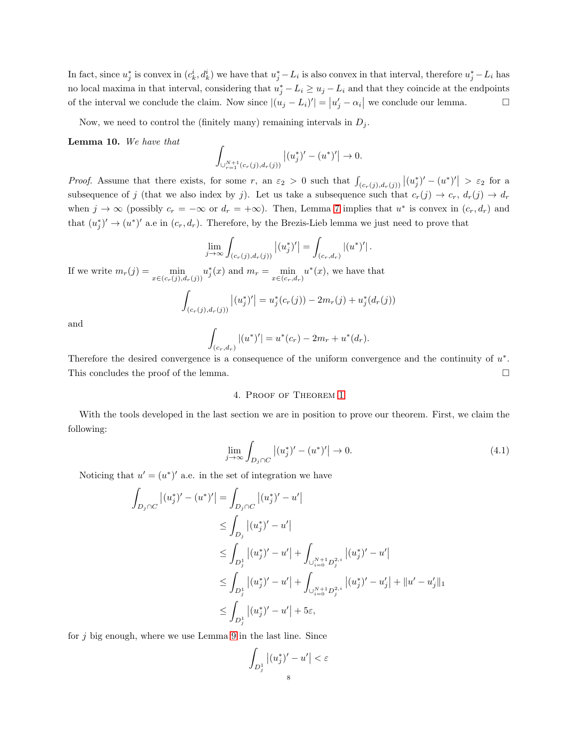In fact, since  $u_j^*$  is convex in  $(c_k^i, d_k^i)$  we have that  $u_j^* - L_i$  is also convex in that interval, therefore  $u_j^* - L_i$  has no local maxima in that interval, considering that  $u_j^* - L_i \ge u_j - L_i$  and that they coincide at the endpoints of the interval we conclude the claim. Now since  $|(u_j - L_i)'| = |u'_j - \alpha_i|$  we conclude our lemma.

Now, we need to control the (finitely many) remaining intervals in  $D_j$ .

<span id="page-7-0"></span>Lemma 10. We have that

$$
\int_{\cup_{r=1}^{N+1}(c_r(j),d_r(j))}\left|(u_j^*)'-(u^*)'\right|\to 0.
$$

*Proof.* Assume that there exists, for some r, an  $\varepsilon_2 > 0$  such that  $\int_{(c_r(j),d_r(j))} |(u_j^*)' - (u^*)'| > \varepsilon_2$  for a subsequence of j (that we also index by j). Let us take a subsequence such that  $c_r(j) \to c_r$ ,  $d_r(j) \to d_r$ when  $j \to \infty$  (possibly  $c_r = -\infty$  or  $d_r = +\infty$ ). Then, Lemma [7](#page-5-0) implies that  $u^*$  is convex in  $(c_r, d_r)$  and that  $(u_j^*)' \to (u^*)'$  a.e in  $(c_r, d_r)$ . Therefore, by the Brezis-Lieb lemma we just need to prove that

$$
\lim_{j \to \infty} \int_{(c_r(j), d_r(j))} |(u_j^*)'| = \int_{(c_r,d_r)} |(u^*)'|.
$$

If we write  $m_r(j) = \min_{x \in (c_r(j), d_r(j))} u_j^*(x)$  and  $m_r = \min_{x \in (c_r, d_r)} u^*(x)$ , we have that

$$
\int_{(c_r(j),d_r(j))} |(u_j^*)'| = u_j^*(c_r(j)) - 2m_r(j) + u_j^*(d_r(j))
$$

and

$$
\int_{(c_r,d_r)}|(u^*)'|=u^*(c_r)-2m_r+u^*(d_r).
$$

Therefore the desired convergence is a consequence of the uniform convergence and the continuity of  $u^*$ . This concludes the proof of the lemma.

## <span id="page-7-1"></span>4. Proof of Theorem [1](#page-1-1)

With the tools developed in the last section we are in position to prove our theorem. First, we claim the following:

$$
\lim_{j \to \infty} \int_{D_j \cap C} \left| (u_j^*)' - (u^*)' \right| \to 0. \tag{4.1}
$$

Noticing that  $u' = (u^*)'$  a.e. in the set of integration we have

$$
\int_{D_j \cap C} |(u_j^*)' - (u^*)'| = \int_{D_j \cap C} |(u_j^*)' - u'|
$$
\n
$$
\leq \int_{D_j} |(u_j^*)' - u'|
$$
\n
$$
\leq \int_{D_j^1} |(u_j^*)' - u'| + \int_{U_{i=0}^{N+1} D_j^{2,i}} |(u_j^*)' - u'|
$$
\n
$$
\leq \int_{D_j^1} |(u_j^*)' - u'| + \int_{U_{i=0}^{N+1} D_j^{2,i}} |(u_j^*)' - u'_j| + ||u' - u'_j||_1
$$
\n
$$
\leq \int_{D_j^1} |(u_j^*)' - u'| + 5\varepsilon,
$$

for  $j$  big enough, where we use Lemma [9](#page-6-0) in the last line. Since

$$
\int_{D_{j}^{1}}\left|(u_{j}^{*})^{\prime}-u^{\prime}\right|<\varepsilon
$$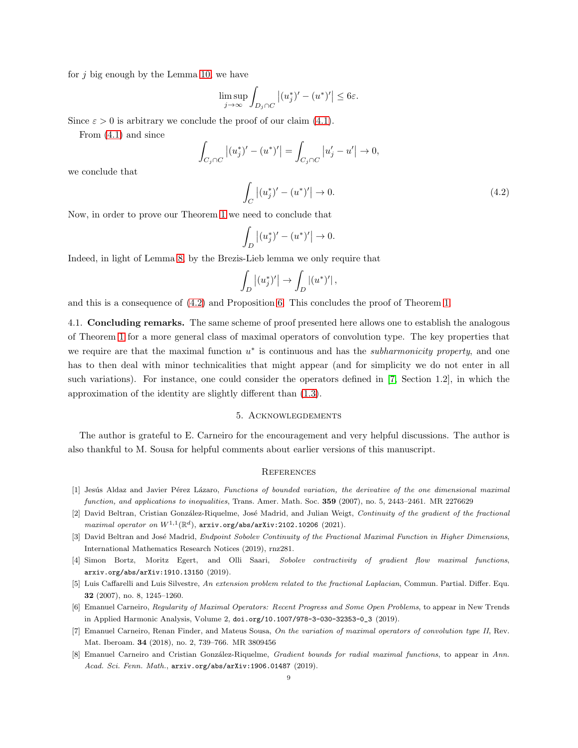for  $i$  big enough by the Lemma [10,](#page-7-0) we have

$$
\limsup_{j \to \infty} \int_{D_j \cap C} |(u_j^*)' - (u^*)'| \le 6\varepsilon.
$$

Since  $\varepsilon > 0$  is arbitrary we conclude the proof of our claim [\(4.1\)](#page-7-1).

From [\(4.1\)](#page-7-1) and since

$$
\int_{C_j \cap C} |(u_j^*)' - (u^*)'| = \int_{C_j \cap C} |u_j' - u'| \to 0,
$$

we conclude that

<span id="page-8-7"></span>
$$
\int_C |(u_j^*)' - (u^*)'| \to 0.
$$
\n(4.2)

Now, in order to prove our Theorem [1](#page-1-1) we need to conclude that

$$
\int_{D} |(u_j^*)' - (u^*)'| \to 0.
$$

Indeed, in light of Lemma [8,](#page-5-1) by the Brezis-Lieb lemma we only require that

$$
\int_D \left|(u_j^*)'\right| \to \int_D \left|(u^*)'\right|,
$$

and this is a consequence of [\(4.2\)](#page-8-7) and Proposition [6.](#page-3-2) This concludes the proof of Theorem [1.](#page-1-1)

4.1. Concluding remarks. The same scheme of proof presented here allows one to establish the analogous of Theorem [1](#page-1-1) for a more general class of maximal operators of convolution type. The key properties that we require are that the maximal function  $u^*$  is continuous and has the *subharmonicity property*, and one has to then deal with minor technicalities that might appear (and for simplicity we do not enter in all such variations). For instance, one could consider the operators defined in [\[7,](#page-8-5) Section 1.2], in which the approximation of the identity are slightly different than [\(1.3\)](#page-1-2).

## 5. Acknowlegdements

The author is grateful to E. Carneiro for the encouragement and very helpful discussions. The author is also thankful to M. Sousa for helpful comments about earlier versions of this manuscript.

## **REFERENCES**

- <span id="page-8-2"></span><span id="page-8-0"></span>[1] Jesús Aldaz and Javier Pérez Lázaro, Functions of bounded variation, the derivative of the one dimensional maximal function, and applications to inequalities, Trans. Amer. Math. Soc. 359 (2007), no. 5, 2443–2461. MR 2276629
- [2] David Beltran, Cristian González-Riquelme, José Madrid, and Julian Weigt, Continuity of the gradient of the fractional  $\textit{maximal operator on } W^{1,1}(\mathbb{R}^d)$ , arxiv.org/abs/arXiv:2102.10206 (2021).
- <span id="page-8-3"></span>[3] David Beltran and José Madrid, Endpoint Sobolev Continuity of the Fractional Maximal Function in Higher Dimensions, International Mathematics Research Notices (2019), rnz281.
- <span id="page-8-4"></span>[4] Simon Bortz, Moritz Egert, and Olli Saari, Sobolev contractivity of gradient flow maximal functions, arxiv.org/abs/arXiv:1910.13150 (2019).
- <span id="page-8-1"></span>[5] Luis Caffarelli and Luis Silvestre, An extension problem related to the fractional Laplacian, Commun. Partial. Differ. Equ. 32 (2007), no. 8, 1245–1260.
- <span id="page-8-5"></span>[6] Emanuel Carneiro, Regularity of Maximal Operators: Recent Progress and Some Open Problems, to appear in New Trends in Applied Harmonic Analysis, Volume 2, doi.org/10.1007/978-3-030-32353-0\_3 (2019).
- <span id="page-8-6"></span>[7] Emanuel Carneiro, Renan Finder, and Mateus Sousa, On the variation of maximal operators of convolution type II, Rev. Mat. Iberoam. 34 (2018), no. 2, 739–766. MR 3809456
- [8] Emanuel Carneiro and Cristian González-Riquelme, Gradient bounds for radial maximal functions, to appear in Ann. Acad. Sci. Fenn. Math., arxiv.org/abs/arXiv:1906.01487 (2019).